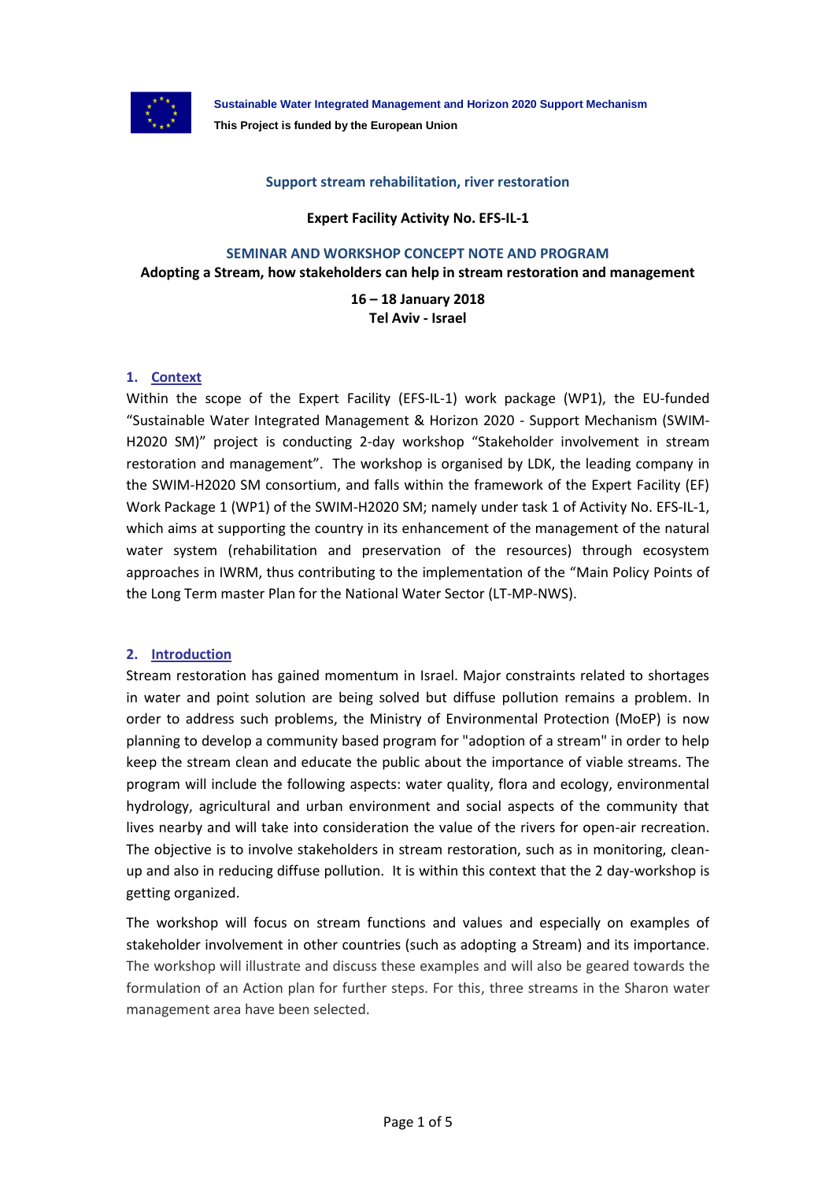

**Sustainable Water Integrated Management and Horizon 2020 Support Mechanism This Project is funded by the European Union**

### **Support stream rehabilitation, river restoration**

**Expert Facility Activity No. EFS-IL-1**

#### **SEMINAR AND WORKSHOP CONCEPT NOTE AND PROGRAM**

**Adopting a Stream, how stakeholders can help in stream restoration and management**

**16 – 18 January 2018 Tel Aviv - Israel**

# **1. Context**

Within the scope of the Expert Facility (EFS-IL-1) work package (WP1), the EU-funded "Sustainable Water Integrated Management & Horizon 2020 - Support Mechanism (SWIM-H2020 SM)" project is conducting 2-day workshop "Stakeholder involvement in stream restoration and management". The workshop is organised by LDK, the leading company in the SWIM-H2020 SM consortium, and falls within the framework of the Expert Facility (EF) Work Package 1 (WP1) of the SWIM-H2020 SM; namely under task 1 of Activity No. EFS-IL-1, which aims at supporting the country in its enhancement of the management of the natural water system (rehabilitation and preservation of the resources) through ecosystem approaches in IWRM, thus contributing to the implementation of the "Main Policy Points of the Long Term master Plan for the National Water Sector (LT-MP-NWS).

### **2. Introduction**

Stream restoration has gained momentum in Israel. Major constraints related to shortages in water and point solution are being solved but diffuse pollution remains a problem. In order to address such problems, the Ministry of Environmental Protection (MoEP) is now planning to develop a community based program for "adoption of a stream" in order to help keep the stream clean and educate the public about the importance of viable streams. The program will include the following aspects: water quality, flora and ecology, environmental hydrology, agricultural and urban environment and social aspects of the community that lives nearby and will take into consideration the value of the rivers for open-air recreation. The objective is to involve stakeholders in stream restoration, such as in monitoring, cleanup and also in reducing diffuse pollution. It is within this context that the 2 day-workshop is getting organized.

The workshop will focus on stream functions and values and especially on examples of stakeholder involvement in other countries (such as adopting a Stream) and its importance. The workshop will illustrate and discuss these examples and will also be geared towards the formulation of an Action plan for further steps. For this, three streams in the Sharon water management area have been selected.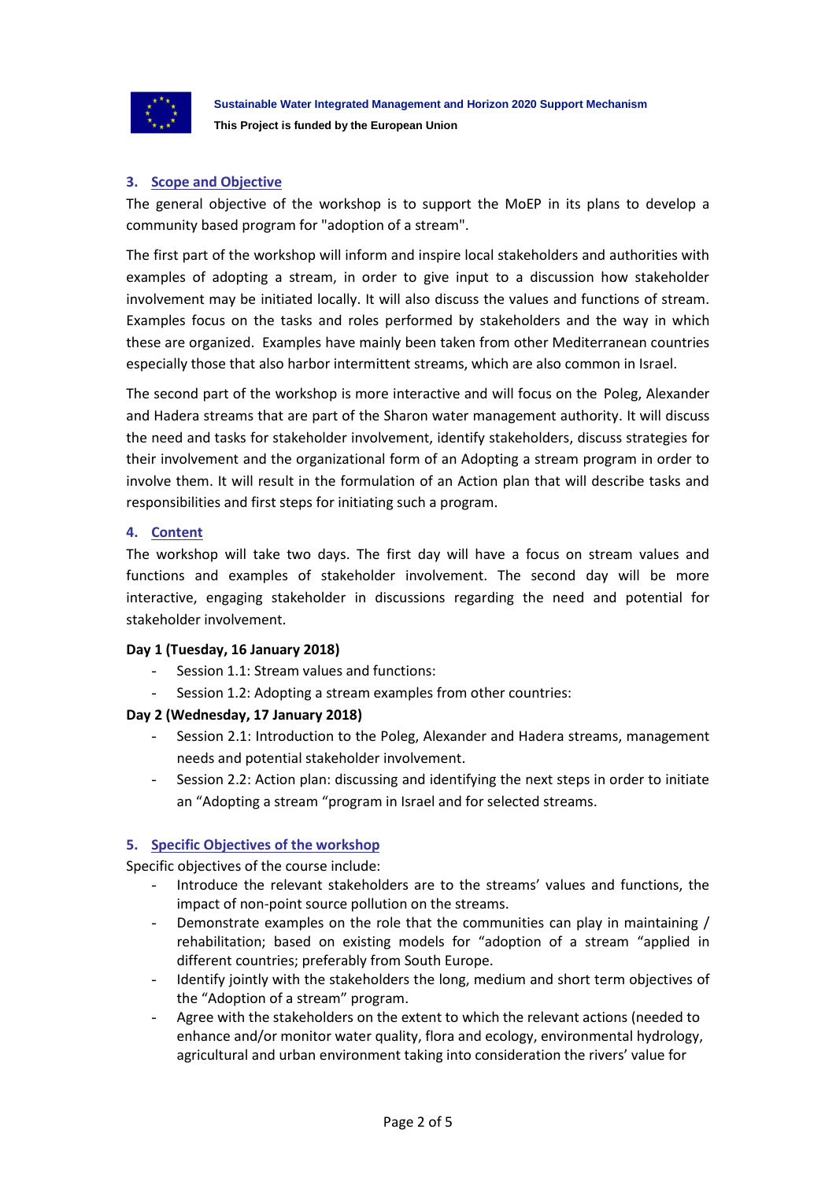

# **3. Scope and Objective**

The general objective of the workshop is to support the MoEP in its plans to develop a community based program for "adoption of a stream".

The first part of the workshop will inform and inspire local stakeholders and authorities with examples of adopting a stream, in order to give input to a discussion how stakeholder involvement may be initiated locally. It will also discuss the values and functions of stream. Examples focus on the tasks and roles performed by stakeholders and the way in which these are organized. Examples have mainly been taken from other Mediterranean countries especially those that also harbor intermittent streams, which are also common in Israel.

The second part of the workshop is more interactive and will focus on the Poleg, Alexander and Hadera streams that are part of the Sharon water management authority. It will discuss the need and tasks for stakeholder involvement, identify stakeholders, discuss strategies for their involvement and the organizational form of an Adopting a stream program in order to involve them. It will result in the formulation of an Action plan that will describe tasks and responsibilities and first steps for initiating such a program.

# **4. Content**

The workshop will take two days. The first day will have a focus on stream values and functions and examples of stakeholder involvement. The second day will be more interactive, engaging stakeholder in discussions regarding the need and potential for stakeholder involvement.

### **Day 1 (Tuesday, 16 January 2018)**

- Session 1.1: Stream values and functions:
- Session 1.2: Adopting a stream examples from other countries:

### **Day 2 (Wednesday, 17 January 2018)**

- Session 2.1: Introduction to the Poleg, Alexander and Hadera streams, management needs and potential stakeholder involvement.
- Session 2.2: Action plan: discussing and identifying the next steps in order to initiate an "Adopting a stream "program in Israel and for selected streams.

# **5. Specific Objectives of the workshop**

Specific objectives of the course include:

- Introduce the relevant stakeholders are to the streams' values and functions, the impact of non-point source pollution on the streams.
- Demonstrate examples on the role that the communities can play in maintaining / rehabilitation; based on existing models for "adoption of a stream "applied in different countries; preferably from South Europe.
- Identify jointly with the stakeholders the long, medium and short term objectives of the "Adoption of a stream" program.
- Agree with the stakeholders on the extent to which the relevant actions (needed to enhance and/or monitor water quality, flora and ecology, environmental hydrology, agricultural and urban environment taking into consideration the rivers' value for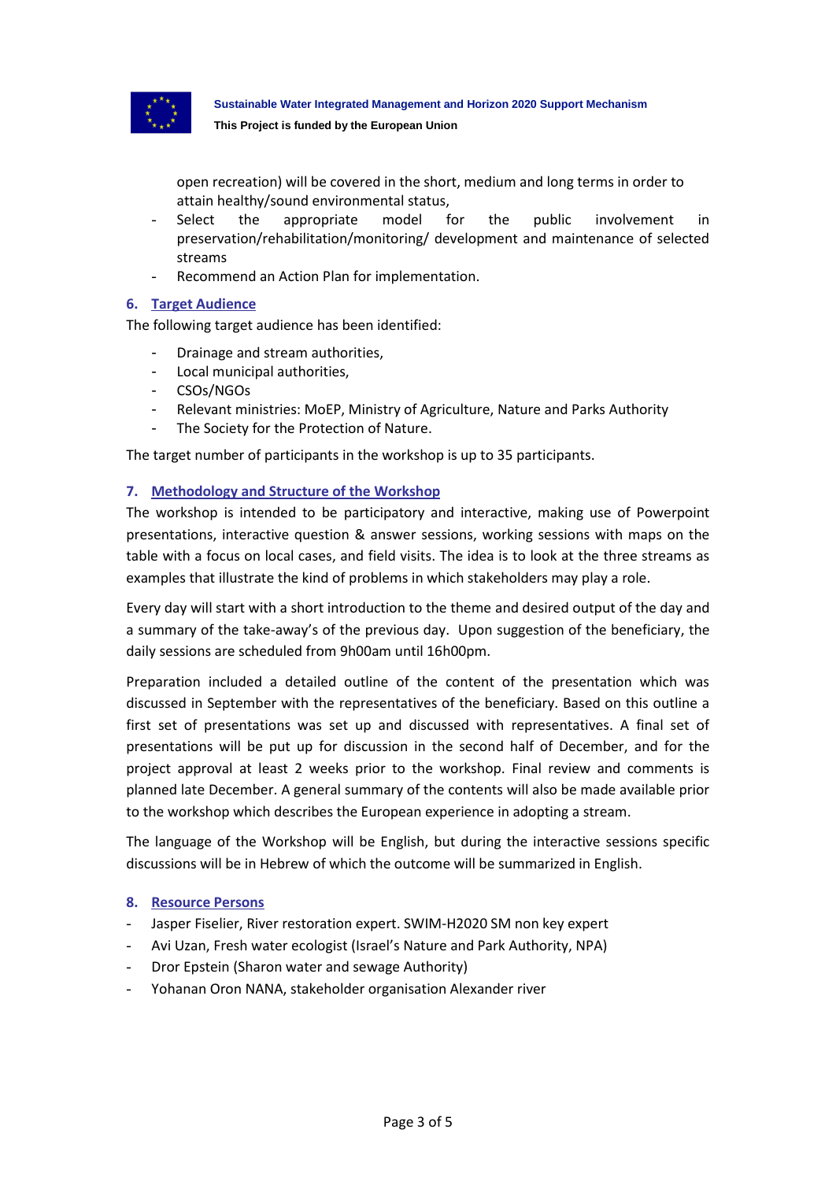

**Sustainable Water Integrated Management and Horizon 2020 Support Mechanism This Project is funded by the European Union**

open recreation) will be covered in the short, medium and long terms in order to attain healthy/sound environmental status,

- Select the appropriate model for the public involvement in preservation/rehabilitation/monitoring/ development and maintenance of selected streams
- Recommend an Action Plan for implementation.

# **6. Target Audience**

The following target audience has been identified:

- Drainage and stream authorities,
- Local municipal authorities,
- CSOs/NGOs
- Relevant ministries: MoEP, Ministry of Agriculture, Nature and Parks Authority
- The Society for the Protection of Nature.

The target number of participants in the workshop is up to 35 participants.

# **7. Methodology and Structure of the Workshop**

The workshop is intended to be participatory and interactive, making use of Powerpoint presentations, interactive question & answer sessions, working sessions with maps on the table with a focus on local cases, and field visits. The idea is to look at the three streams as examples that illustrate the kind of problems in which stakeholders may play a role.

Every day will start with a short introduction to the theme and desired output of the day and a summary of the take-away's of the previous day. Upon suggestion of the beneficiary, the daily sessions are scheduled from 9h00am until 16h00pm.

Preparation included a detailed outline of the content of the presentation which was discussed in September with the representatives of the beneficiary. Based on this outline a first set of presentations was set up and discussed with representatives. A final set of presentations will be put up for discussion in the second half of December, and for the project approval at least 2 weeks prior to the workshop. Final review and comments is planned late December. A general summary of the contents will also be made available prior to the workshop which describes the European experience in adopting a stream.

The language of the Workshop will be English, but during the interactive sessions specific discussions will be in Hebrew of which the outcome will be summarized in English.

### **8. Resource Persons**

- Jasper Fiselier, River restoration expert. SWIM-H2020 SM non key expert
- Avi Uzan, Fresh water ecologist (Israel's Nature and Park Authority, NPA)
- Dror Epstein (Sharon water and sewage Authority)
- Yohanan Oron NANA, stakeholder organisation Alexander river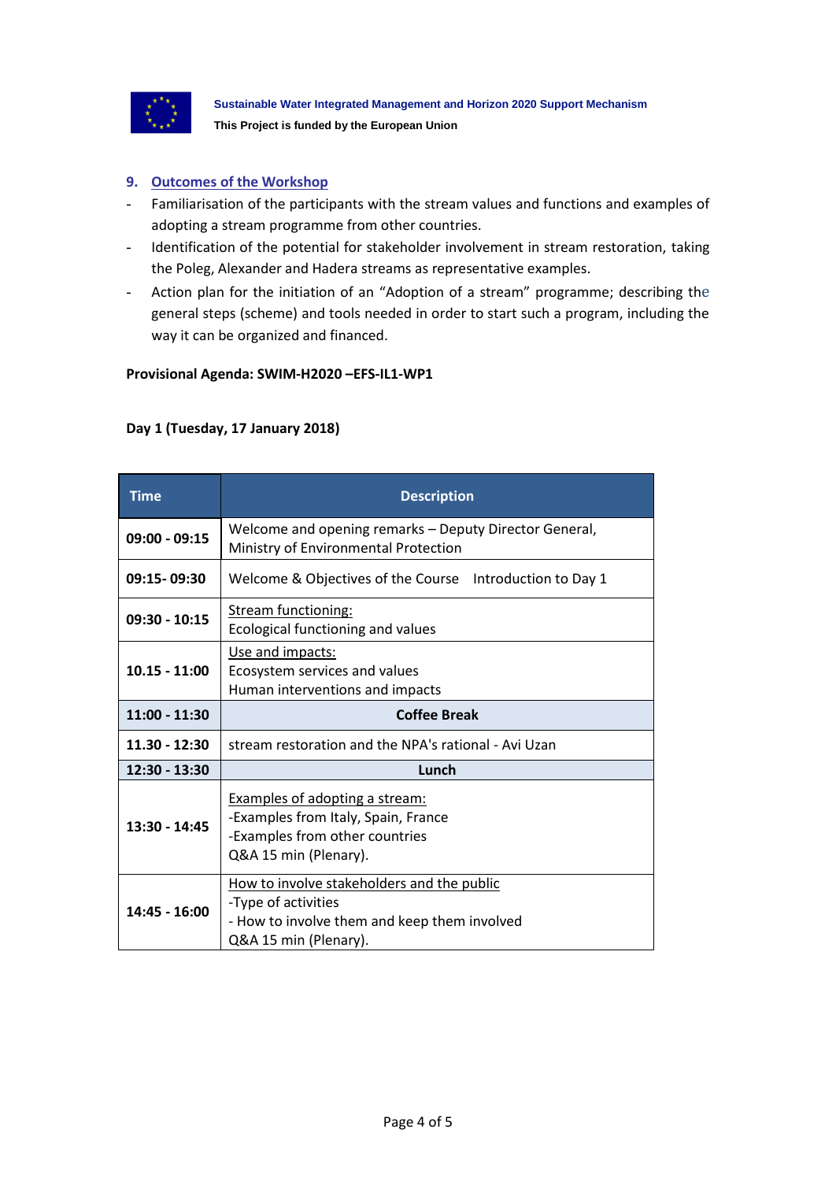

# **9. Outcomes of the Workshop**

- Familiarisation of the participants with the stream values and functions and examples of adopting a stream programme from other countries.
- Identification of the potential for stakeholder involvement in stream restoration, taking the Poleg, Alexander and Hadera streams as representative examples.
- Action plan for the initiation of an "Adoption of a stream" programme; describing the general steps (scheme) and tools needed in order to start such a program, including the way it can be organized and financed.

### **Provisional Agenda: SWIM-H2020 –EFS-IL1-WP1**

# **Day 1 (Tuesday, 17 January 2018)**

| <b>Time</b>     | <b>Description</b>                                                                                                                         |
|-----------------|--------------------------------------------------------------------------------------------------------------------------------------------|
| $09:00 - 09:15$ | Welcome and opening remarks - Deputy Director General,<br>Ministry of Environmental Protection                                             |
| 09:15-09:30     | Welcome & Objectives of the Course Introduction to Day 1                                                                                   |
| $09:30 - 10:15$ | Stream functioning:<br>Ecological functioning and values                                                                                   |
| $10.15 - 11:00$ | Use and impacts:<br>Ecosystem services and values<br>Human interventions and impacts                                                       |
| 11:00 - 11:30   | <b>Coffee Break</b>                                                                                                                        |
| $11.30 - 12:30$ | stream restoration and the NPA's rational - Avi Uzan                                                                                       |
| 12:30 - 13:30   | Lunch                                                                                                                                      |
| 13:30 - 14:45   | Examples of adopting a stream:<br>-Examples from Italy, Spain, France<br>-Examples from other countries<br>Q&A 15 min (Plenary).           |
| 14:45 - 16:00   | How to involve stakeholders and the public<br>-Type of activities<br>- How to involve them and keep them involved<br>Q&A 15 min (Plenary). |